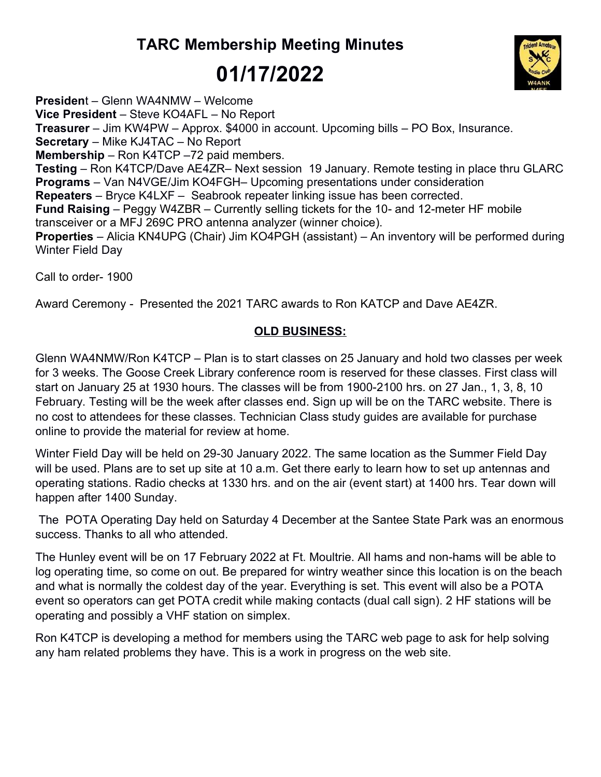## TARC Membership Meeting Minutes 01/17/2022



President – Glenn WA4NMW – Welcome Vice President – Steve KO4AFL – No Report Treasurer – Jim KW4PW – Approx. \$4000 in account. Upcoming bills – PO Box, Insurance. Secretary – Mike KJ4TAC – No Report Membership – Ron K4TCP –72 paid members. Testing – Ron K4TCP/Dave AE4ZR– Next session 19 January. Remote testing in place thru GLARC Programs – Van N4VGE/Jim KO4FGH– Upcoming presentations under consideration Repeaters – Bryce K4LXF – Seabrook repeater linking issue has been corrected. Fund Raising – Peggy W4ZBR – Currently selling tickets for the 10- and 12-meter HF mobile transceiver or a MFJ 269C PRO antenna analyzer (winner choice). Properties – Alicia KN4UPG (Chair) Jim KO4PGH (assistant) – An inventory will be performed during Winter Field Day

Call to order- 1900

Award Ceremony - Presented the 2021 TARC awards to Ron KATCP and Dave AE4ZR.

## OLD BUSINESS:

Glenn WA4NMW/Ron K4TCP – Plan is to start classes on 25 January and hold two classes per week for 3 weeks. The Goose Creek Library conference room is reserved for these classes. First class will start on January 25 at 1930 hours. The classes will be from 1900-2100 hrs. on 27 Jan., 1, 3, 8, 10 February. Testing will be the week after classes end. Sign up will be on the TARC website. There is no cost to attendees for these classes. Technician Class study guides are available for purchase online to provide the material for review at home.

Winter Field Day will be held on 29-30 January 2022. The same location as the Summer Field Day will be used. Plans are to set up site at 10 a.m. Get there early to learn how to set up antennas and operating stations. Radio checks at 1330 hrs. and on the air (event start) at 1400 hrs. Tear down will happen after 1400 Sunday.

 The POTA Operating Day held on Saturday 4 December at the Santee State Park was an enormous success. Thanks to all who attended.

The Hunley event will be on 17 February 2022 at Ft. Moultrie. All hams and non-hams will be able to log operating time, so come on out. Be prepared for wintry weather since this location is on the beach and what is normally the coldest day of the year. Everything is set. This event will also be a POTA event so operators can get POTA credit while making contacts (dual call sign). 2 HF stations will be operating and possibly a VHF station on simplex.

Ron K4TCP is developing a method for members using the TARC web page to ask for help solving any ham related problems they have. This is a work in progress on the web site.